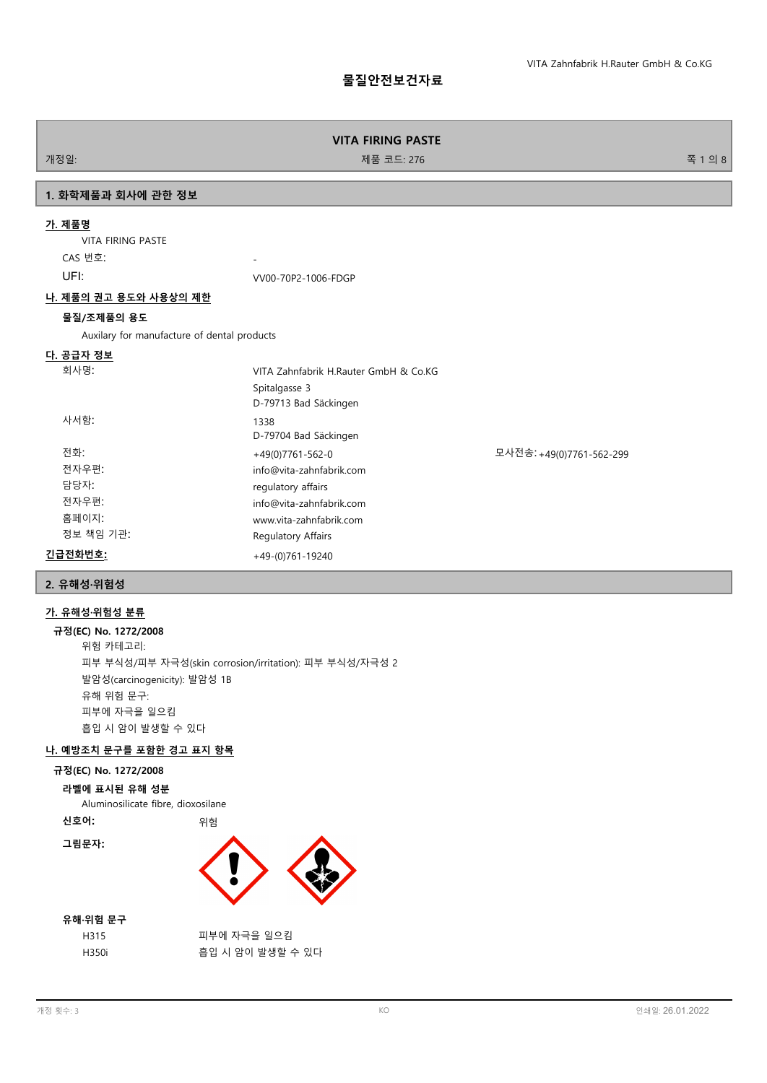# **물질안전보건자료**

## **VITA FIRING PASTE**

개정일: 기능 - 대한민국의 대학 - 대한민국의 대학 - 대한민국의 제품 코드: 276 전 - 대한민국의 대학 - 대한민국의 대학 - 대한민국의 8

# **1. 화학제품과 회사에 관한 정보**

# **가. 제품명**

VITA FIRING PASTE CAS 번호: UFI: VV00-70P2-1006-FDGP

# **나. 제품의 권고 용도와 사용상의 제한**

# **물질/조제품의 용도**

Auxilary for manufacture of dental products

# **다. 공급자 정보**

| 회사명:      | VITA Zahnfabrik H.Rauter GmbH & Co.KG |                          |
|-----------|---------------------------------------|--------------------------|
|           | Spitalgasse 3                         |                          |
|           | D-79713 Bad Säckingen                 |                          |
| 사서함:      | 1338                                  |                          |
|           | D-79704 Bad Säckingen                 |                          |
| 전화:       | $+49(0)7761 - 562 - 0$                | 모사전송: +49(0)7761-562-299 |
| 전자우편:     | info@vita-zahnfabrik.com              |                          |
| 담당자:      | regulatory affairs                    |                          |
| 전자우편:     | info@vita-zahnfabrik.com              |                          |
| 홈페이지:     | www.vita-zahnfabrik.com               |                          |
| 정보 책임 기관: | Regulatory Affairs                    |                          |
| 긴급전화번호:   | $+49-(0)761-19240$                    |                          |

## **2. 유해성·위험성**

# **가. 유해성·위험성 분류**

**규정(EC) No. 1272/2008** 위험 카테고리: 피부 부식성/피부 자극성(skin corrosion/irritation): 피부 부식성/자극성 2 발암성(carcinogenicity): 발암성 1B 유해 위험 문구: 피부에 자극을 일으킴 흡입 시 암이 발생할 수 있다

# **나. 예방조치 문구를 포함한 경고 표지 항목**

#### **규정(EC) No. 1272/2008**

#### **라벨에 표시된 유해 성분**

Aluminosilicate fibre, dioxosilane

**신호어:** 위험





# **유해·위험 문구**

| H315  | 피부에 자극을 일으킴      |
|-------|------------------|
| H350i | 흡입 시 암이 발생할 수 있다 |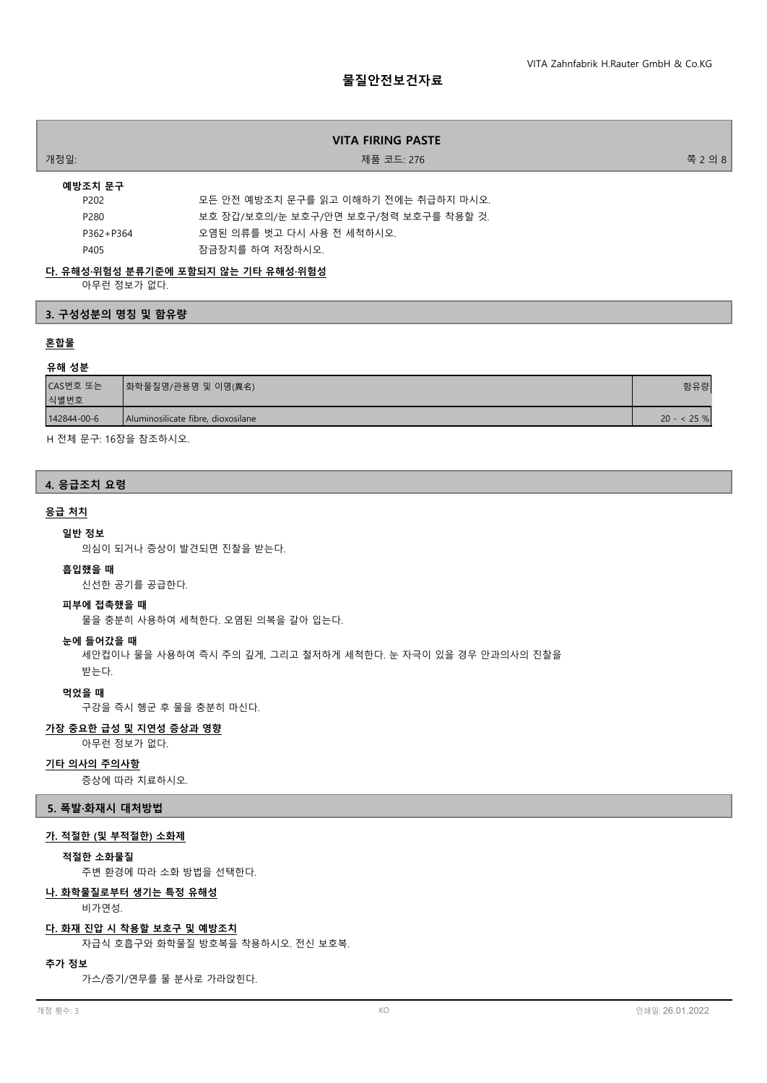# **물질안전보건자료**

| VITA FIRING PASTE |                                       |         |
|-------------------|---------------------------------------|---------|
| 개정일:              | 제품 코드: 276                            | 쪽 2 의 8 |
| 예방조치 문구           |                                       |         |
| P <sub>202</sub>  | 모든 안전 예방조치 문구를 읽고 이해하기 전에는 취급하지 마시오.  |         |
| P280              | 보호 장갑/보호의/눈 보호구/안면 보호구/청력 보호구를 착용할 것. |         |
| P362+P364         | 오염된 의류를 벗고 다시 사용 전 세척하시오.             |         |
| P405              | 잠금장치를 하여 저장하시오.                       |         |

# **다. 유해성·위험성 분류기준에 포함되지 않는 기타 유해성·위험성**

아무런 정보가 없다.

# **3. 구성성분의 명칭 및 함유량**

# **혼합물**

# **유해 성분**

| CAS번호 또는<br>식별번호 | ┃화학물질명/관용명 및 이명(異名)                | 함유량           |
|------------------|------------------------------------|---------------|
| 142844-00-6      | Aluminosilicate fibre, dioxosilane | $20 - 525 \%$ |

H 전체 문구: 16장을 참조하시오.

# **4. 응급조치 요령**

#### **응급 처치**

#### **일반 정보**

의심이 되거나 증상이 발견되면 진찰을 받는다.

## **흡입했을 때**

신선한 공기를 공급한다.

# **피부에 접촉했을 때**

물을 충분히 사용하여 세척한다. 오염된 의복을 갈아 입는다.

# **눈에 들어갔을 때**

세안컵이나 물을 사용하여 즉시 주의 깊게, 그리고 철저하게 세척한다. 눈 자극이 있을 경우 안과의사의 진찰을 받는다.

#### **먹었을 때**

구강을 즉시 헹군 후 물을 충분히 마신다.

## **가장 중요한 급성 및 지연성 증상과 영향**

아무런 정보가 없다.

#### **기타 의사의 주의사항**

증상에 따라 치료하시오.

#### **5. 폭발·화재시 대처방법**

# **가. 적절한 (및 부적절한) 소화제**

## **적절한 소화물질**

주변 환경에 따라 소화 방법을 선택한다.

# **나. 화학물질로부터 생기는 특정 유해성**

비가연성.

## **다. 화재 진압 시 착용할 보호구 및 예방조치**

자급식 호흡구와 화학물질 방호복을 착용하시오. 전신 보호복.

#### **추가 정보**

가스/증기/연무를 물 분사로 가라앉힌다.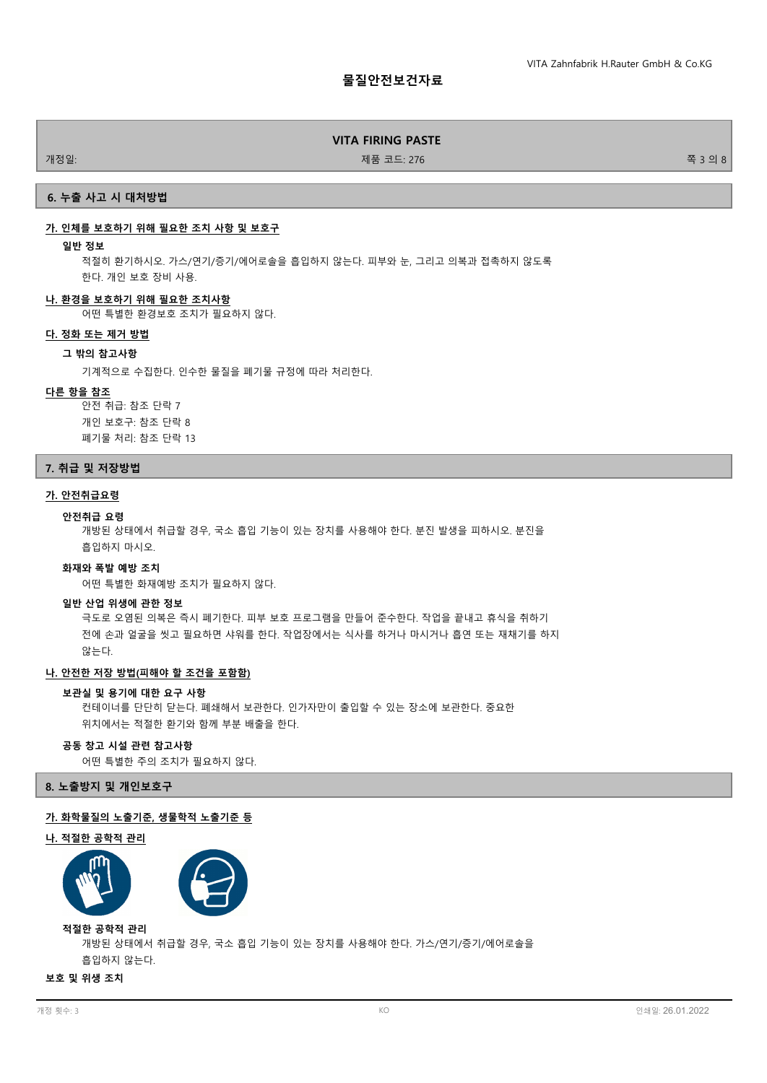개정일: 기능 - 276 전 3 의 8 원 - 276 전 3 의 8 원 - 276 전 3 의 8 원 - 276 전 3 의 8 원 - 276 전 3 의 8 원 - 277 - 277 원 - 277 원 - 277 원 - 277 원 - 277 원 - 277 원 - 277 원 - 277 원 - 277 원 - 277 원 - 277 원 - 277 원 - 277 원 - 277 원 - 277 원 - 277 원

# **6. 누출 사고 시 대처방법**

# **가. 인체를 보호하기 위해 필요한 조치 사항 및 보호구**

#### **일반 정보**

적절히 환기하시오. 가스/연기/증기/에어로솔을 흡입하지 않는다. 피부와 눈, 그리고 의복과 접촉하지 않도록 한다. 개인 보호 장비 사용.

#### **나. 환경을 보호하기 위해 필요한 조치사항**

어떤 특별한 환경보호 조치가 필요하지 않다.

#### **다. 정화 또는 제거 방법**

# **그 밖의 참고사항**

기계적으로 수집한다. 인수한 물질을 폐기물 규정에 따라 처리한다.

#### **다른 항을 참조**

안전 취급: 참조 단락 7 개인 보호구: 참조 단락 8 폐기물 처리: 참조 단락 13

#### **7. 취급 및 저장방법**

# **가. 안전취급요령**

#### **안전취급 요령**

개방된 상태에서 취급할 경우, 국소 흡입 기능이 있는 장치를 사용해야 한다. 분진 발생을 피하시오. 분진을 흡입하지 마시오.

#### **화재와 폭발 예방 조치**

어떤 특별한 화재예방 조치가 필요하지 않다.

#### **일반 산업 위생에 관한 정보**

극도로 오염된 의복은 즉시 폐기한다. 피부 보호 프로그램을 만들어 준수한다. 작업을 끝내고 휴식을 취하기 전에 손과 얼굴을 씻고 필요하면 샤워를 한다. 작업장에서는 식사를 하거나 마시거나 흡연 또는 재채기를 하지 않는다.

# **나. 안전한 저장 방법(피해야 할 조건을 포함함)**

#### **보관실 및 용기에 대한 요구 사항**

컨테이너를 단단히 닫는다. 폐쇄해서 보관한다. 인가자만이 출입할 수 있는 장소에 보관한다. 중요한 위치에서는 적절한 환기와 함께 부분 배출을 한다.

#### **공동 창고 시설 관련 참고사항**

어떤 특별한 주의 조치가 필요하지 않다.

**8. 노출방지 및 개인보호구**

#### **가. 화학물질의 노출기준, 생물학적 노출기준 등**

#### **나. 적절한 공학적 관리**



개방된 상태에서 취급할 경우, 국소 흡입 기능이 있는 장치를 사용해야 한다. 가스/연기/증기/에어로솔을 흡입하지 않는다. **적절한 공학적 관리**

**보호 및 위생 조치**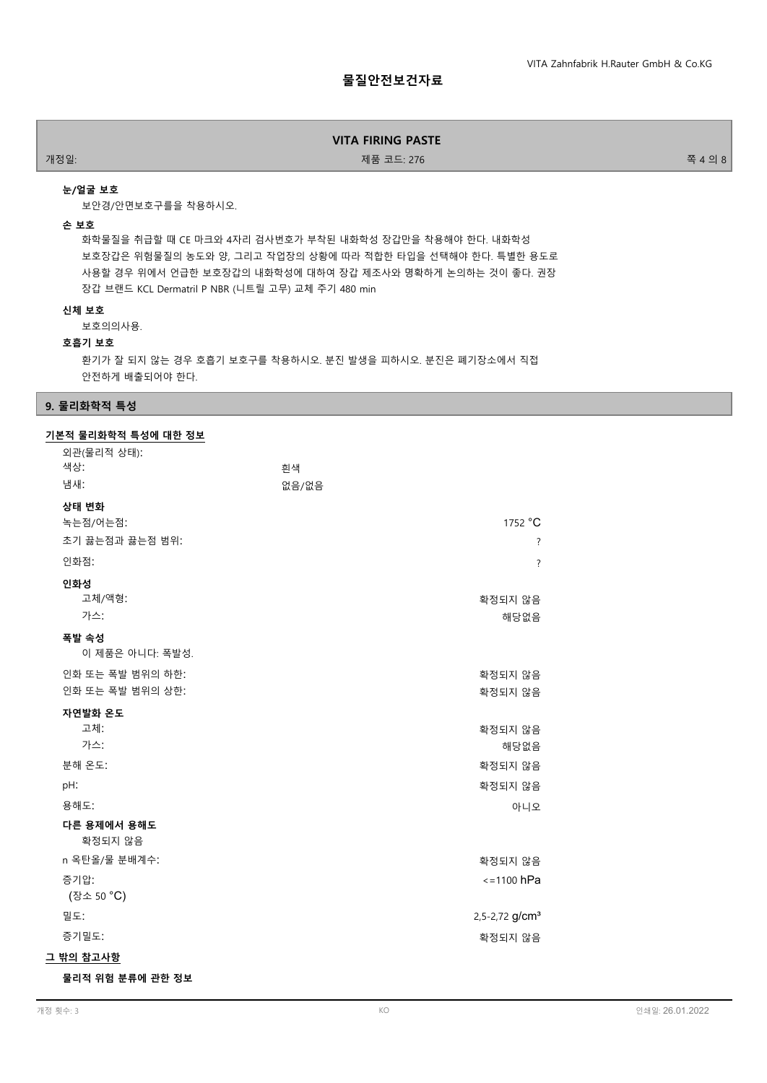개정일: 기능 - 대한민국의 대학 - 대한민국의 대학 - 대한민국의 제품 코드: 276 전 - 대한민국의 대학 - 대한민국의 대학 - 대한민국의 8

## **눈/얼굴 보호**

보안경/안면보호구를을 착용하시오.

#### **손 보호**

화학물질을 취급할 때 CE 마크와 4자리 검사번호가 부착된 내화학성 장갑만을 착용해야 한다. 내화학성 보호장갑은 위험물질의 농도와 양, 그리고 작업장의 상황에 따라 적합한 타입을 선택해야 한다. 특별한 용도로 사용할 경우 위에서 언급한 보호장갑의 내화학성에 대하여 장갑 제조사와 명확하게 논의하는 것이 좋다. 권장 장갑 브랜드 KCL Dermatril P NBR (니트릴 고무) 교체 주기 480 min

#### **신체 보호**

보호의의사용.

#### **호흡기 보호**

환기가 잘 되지 않는 경우 호흡기 보호구를 착용하시오. 분진 발생을 피하시오. 분진은 폐기장소에서 직접 안전하게 배출되어야 한다.

# **9. 물리화학적 특성**

# **기본적 물리화학적 특성에 대한 정보**

| 외관(물리적 상태):                          |                            |
|--------------------------------------|----------------------------|
| 색상:<br>냄새:                           | 휘색<br>없음/없음                |
|                                      |                            |
| 상태 변화<br>녹는점/어는점:                    | 1752 °C                    |
| 초기 끓는점과 끓는점 범위:                      | $\overline{?}$             |
| 인화점:                                 | $\overline{?}$             |
| 인화성<br>고체/액형:<br>가스:                 | 확정되지 않음<br>해당없음            |
| 폭발 속성<br>이 제품은 아니다: 폭발성.             |                            |
| 인화 또는 폭발 범위의 하한:<br>인화 또는 폭발 범위의 상한: | 확정되지 않음<br>확정되지 않음         |
| 자연발화 온도<br>고체:<br>가스:                | 확정되지 않음<br>해당없음            |
| 분해 온도:                               | 확정되지 않음                    |
| pH:                                  | 확정되지 않음                    |
| 용해도:                                 | 아니오                        |
| 다른 용제에서 용해도<br>확정되지 않음               |                            |
| n 옥탄올/물 분배계수:                        | 확정되지 않음                    |
| 증기압:                                 | $\le$ =1100 hPa            |
| (장소 50 °C)                           |                            |
| 밀도:                                  | 2,5-2,72 g/cm <sup>3</sup> |
| 증기밀도:                                | 확정되지 않음                    |
| 그 밖의 참고사항                            |                            |

**물리적 위험 분류에 관한 정보**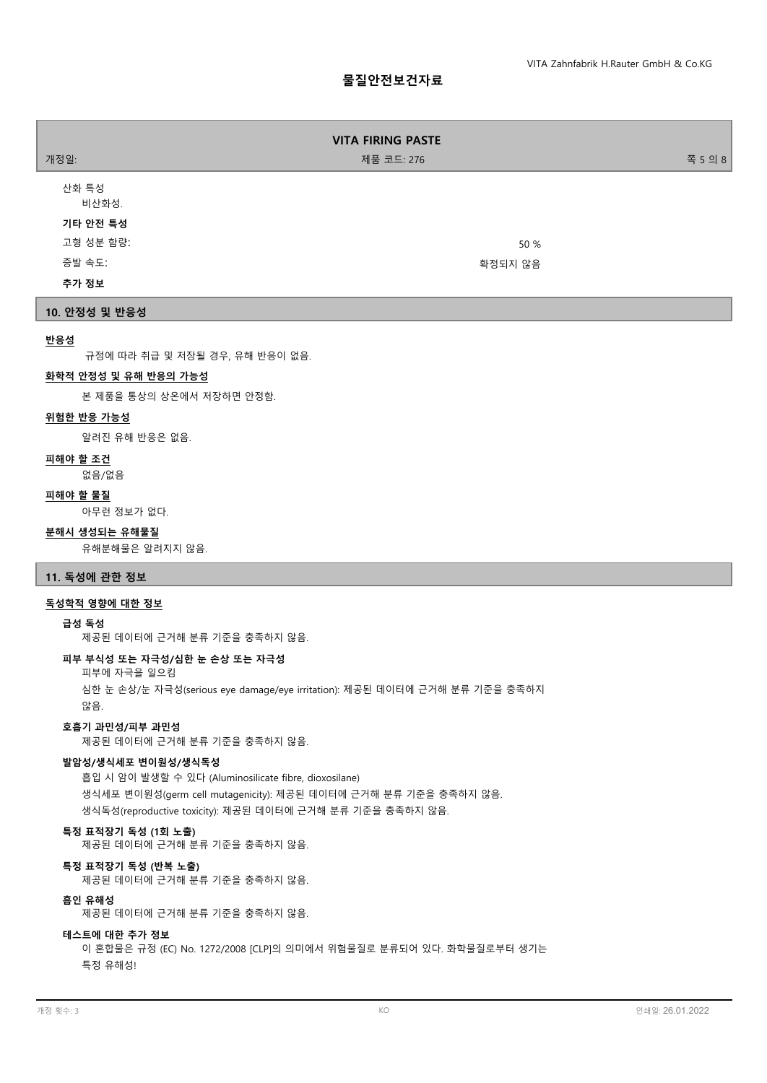# **물질안전보건자료**

| 개정일:                                    | <b>VITA FIRING PASTE</b><br>제품 코드: 276 | 쪽 5 의 8 |
|-----------------------------------------|----------------------------------------|---------|
| 산화 특성<br>비산화성.<br>기타 안전 특성<br>고형 성분 함량: | 50 %                                   |         |
| 증발 속도:                                  | 확정되지 않음                                |         |
| 추가 정보                                   |                                        |         |

# **10. 안정성 및 반응성**

# **반응성**

규정에 따라 취급 및 저장될 경우, 유해 반응이 없음.

#### **화학적 안정성 및 유해 반응의 가능성**

본 제품을 통상의 상온에서 저장하면 안정함.

# **위험한 반응 가능성**

알려진 유해 반응은 없음.

#### **피해야 할 조건**

없음/없음

# **피해야 할 물질**

아무런 정보가 없다.

#### **분해시 생성되는 유해물질**

유해분해물은 알려지지 않음.

# **11. 독성에 관한 정보**

# **독성학적 영향에 대한 정보**

#### **급성 독성**

제공된 데이터에 근거해 분류 기준을 충족하지 않음.

# **피부 부식성 또는 자극성/심한 눈 손상 또는 자극성**

피부에 자극을 일으킴

심한 눈 손상/눈 자극성(serious eye damage/eye irritation): 제공된 데이터에 근거해 분류 기준을 충족하지 않음.

#### **호흡기 과민성/피부 과민성**

제공된 데이터에 근거해 분류 기준을 충족하지 않음.

# **발암성/생식세포 변이원성/생식독성**

흡입 시 암이 발생할 수 있다 (Aluminosilicate fibre, dioxosilane) 생식세포 변이원성(germ cell mutagenicity): 제공된 데이터에 근거해 분류 기준을 충족하지 않음. 생식독성(reproductive toxicity): 제공된 데이터에 근거해 분류 기준을 충족하지 않음.

#### **특정 표적장기 독성 (1회 노출)**

제공된 데이터에 근거해 분류 기준을 충족하지 않음.

# **특정 표적장기 독성 (반복 노출)**

제공된 데이터에 근거해 분류 기준을 충족하지 않음.

## **흡인 유해성**

제공된 데이터에 근거해 분류 기준을 충족하지 않음.

#### **테스트에 대한 추가 정보**

이 혼합물은 규정 (EC) No. 1272/2008 [CLP]의 의미에서 위험물질로 분류되어 있다. 화학물질로부터 생기는 특정 유해성!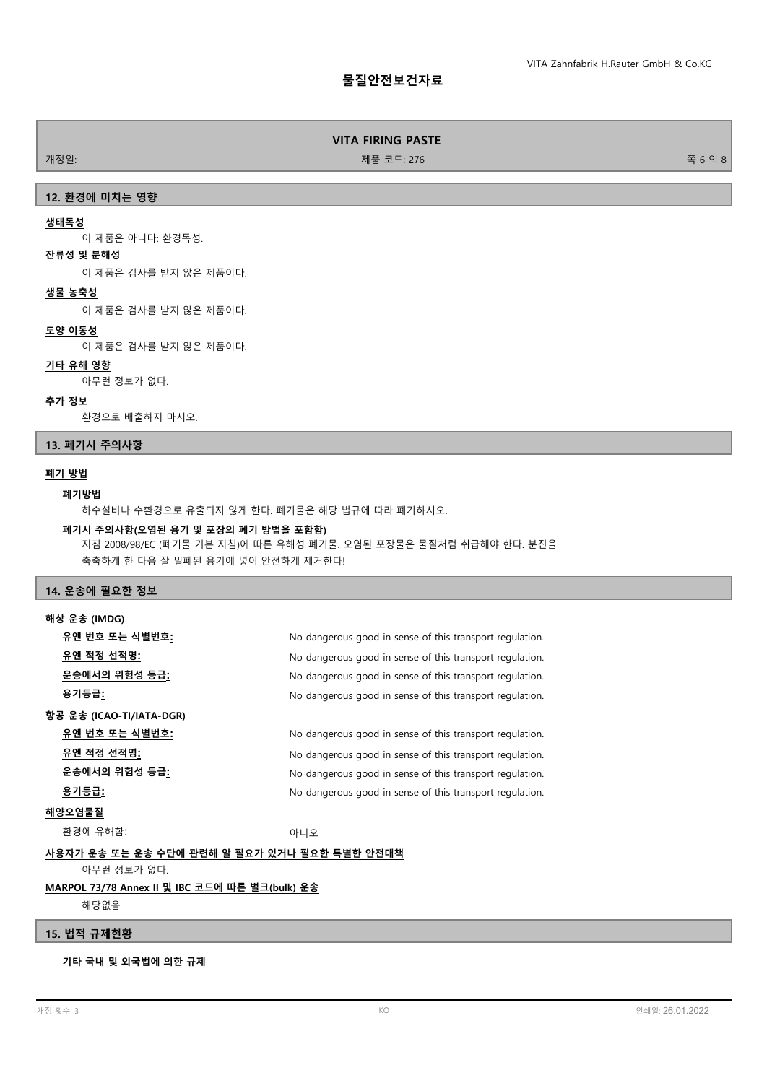개정일: 기능 - 대한민국의 대학 - 대한민국의 대학 - 대한민국의 제품 코드: 276 전 - 대한민국의 대학 - 대한민국의 대학 - 대한민국의 8월 6일 8

# **12. 환경에 미치는 영향**

## **생태독성**

이 제품은 아니다: 환경독성.

# **잔류성 및 분해성**

이 제품은 검사를 받지 않은 제품이다.

#### **생물 농축성**

이 제품은 검사를 받지 않은 제품이다.

# **토양 이동성**

이 제품은 검사를 받지 않은 제품이다.

# **기타 유해 영향**

아무런 정보가 없다.

## **추가 정보**

환경으로 배출하지 마시오.

#### **13. 폐기시 주의사항**

#### **폐기 방법**

#### **폐기방법**

하수설비나 수환경으로 유출되지 않게 한다. 폐기물은 해당 법규에 따라 폐기하시오.

#### **폐기시 주의사항(오염된 용기 및 포장의 폐기 방법을 포함함)**

지침 2008/98/EC (폐기물 기본 지침)에 따른 유해성 폐기물. 오염된 포장물은 물질처럼 취급해야 한다. 분진을 축축하게 한 다음 잘 밀폐된 용기에 넣어 안전하게 제거한다!

# **14. 운송에 필요한 정보**

| 해상 운송 (IMDG)                                 |                                                          |
|----------------------------------------------|----------------------------------------------------------|
| 유엔 번호 또는 식별번호:                               | No dangerous good in sense of this transport regulation. |
| 유엔 적정 선적명:                                   | No dangerous good in sense of this transport regulation. |
| <u> 운송에서의 위험성 등급:</u>                        | No dangerous good in sense of this transport regulation. |
| <u>용기등급:</u>                                 | No dangerous good in sense of this transport regulation. |
| 항공 운송 (ICAO-TI/IATA-DGR)                     |                                                          |
| 유엔 번호 또는 식별번호:                               | No dangerous good in sense of this transport regulation. |
| <u>유엔 적정 선적명:</u>                            | No dangerous good in sense of this transport regulation. |
| 운송에서의 위험성 등급 <u>:</u>                        | No dangerous good in sense of this transport regulation. |
| 용기등급:                                        | No dangerous good in sense of this transport regulation. |
| 해양오염물질                                       |                                                          |
| 환경에 유해함:                                     | 아니오                                                      |
| 사용자가 운송 또는 운송 수단에 관련해 알 필요가 있거나 필요한 특별한 안전대책 |                                                          |
| 아무런 정보가 없다.                                  |                                                          |

#### **MARPOL 73/78 Annex II 및 IBC 코드에 따른 벌크(bulk) 운송**

해당없음

#### **15. 법적 규제현황**

**기타 국내 및 외국법에 의한 규제**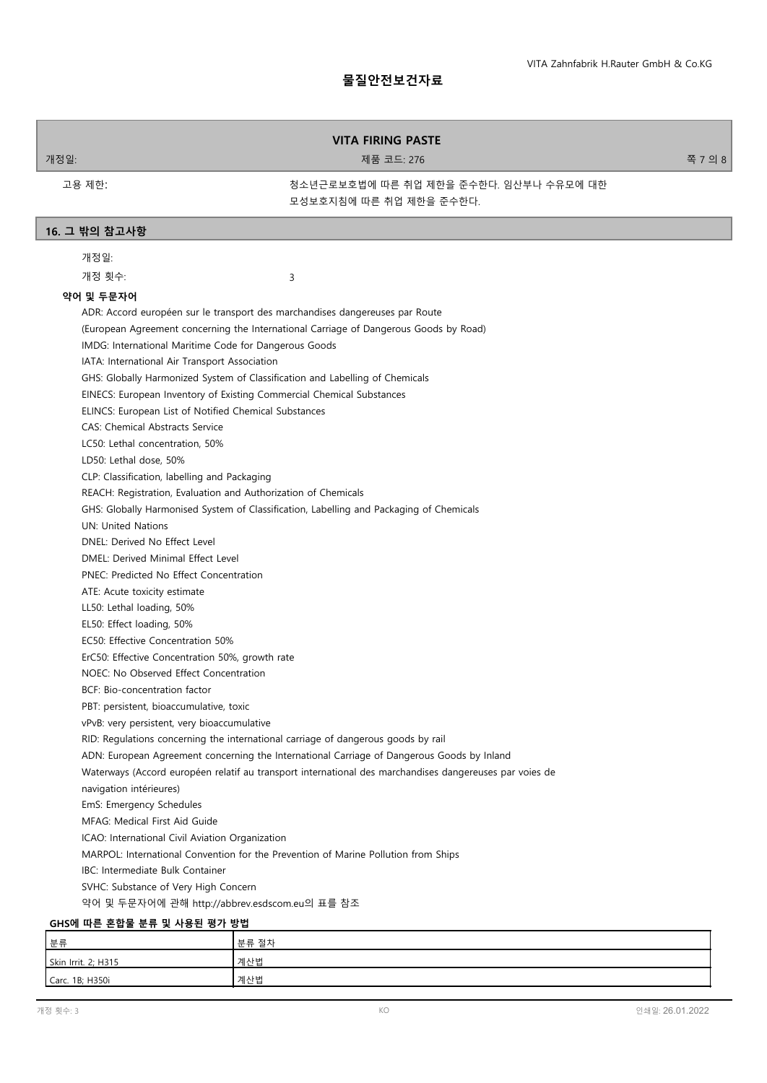개정일: 기능 - 276 전 7 의 8 전 7 의 8 전 7 의 8 전 7 의 8 전 7 의 8 전 7 의 8 전 7 의 8 전 7 의 8 전 7 의 8

고용 제한:

청소년근로보호법에 따른 취업 제한을 준수한다. 임산부나 수유모에 대한 모성보호지침에 따른 취업 제한을 준수한다.

#### **16. 그 밖의 참고사항**

개정일:

개정 횟수:

3

#### **약어 및 두문자어**

ADR: Accord européen sur le transport des marchandises dangereuses par Route (European Agreement concerning the International Carriage of Dangerous Goods by Road) IMDG: International Maritime Code for Dangerous Goods IATA: International Air Transport Association GHS: Globally Harmonized System of Classification and Labelling of Chemicals EINECS: European Inventory of Existing Commercial Chemical Substances ELINCS: European List of Notified Chemical Substances CAS: Chemical Abstracts Service LC50: Lethal concentration, 50% LD50: Lethal dose, 50% CLP: Classification, labelling and Packaging REACH: Registration, Evaluation and Authorization of Chemicals GHS: Globally Harmonised System of Classification, Labelling and Packaging of Chemicals UN: United Nations DNEL: Derived No Effect Level DMEL: Derived Minimal Effect Level PNEC: Predicted No Effect Concentration ATE: Acute toxicity estimate LL50: Lethal loading, 50% EL50: Effect loading, 50% EC50: Effective Concentration 50% ErC50: Effective Concentration 50%, growth rate NOEC: No Observed Effect Concentration BCF: Bio-concentration factor PBT: persistent, bioaccumulative, toxic vPvB: very persistent, very bioaccumulative RID: Regulations concerning the international carriage of dangerous goods by rail ADN: European Agreement concerning the International Carriage of Dangerous Goods by Inland Waterways (Accord européen relatif au transport international des marchandises dangereuses par voies de navigation intérieures) EmS: Emergency Schedules MFAG: Medical First Aid Guide ICAO: International Civil Aviation Organization MARPOL: International Convention for the Prevention of Marine Pollution from Ships IBC: Intermediate Bulk Container SVHC: Substance of Very High Concern 약어 및 두문자어에 관해 http://abbrev.esdscom.eu의 표를 참조 **GHS에 따른 혼합물 분류 및 사용된 평가 방법**

| 분류                  | 분류 절차 |
|---------------------|-------|
| Skin Irrit. 2; H315 | 계산법   |
| Carc. 1B; H350i     | 계산법   |